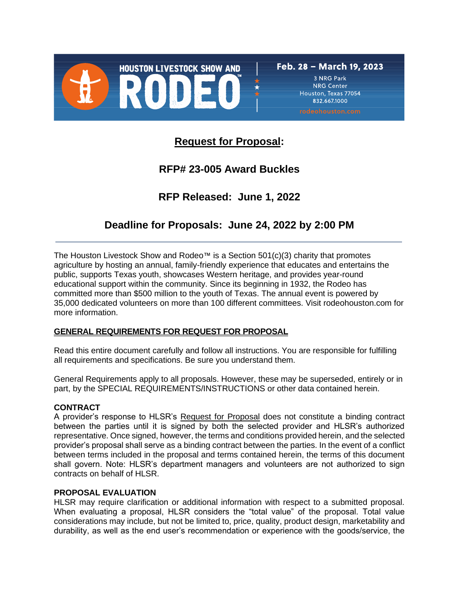

Houston, Texas 77054 832,667,1000

# **Request for Proposal:**

# **RFP# 23-005 Award Buckles**

# **RFP Released: June 1, 2022**

# **Deadline for Proposals: June 24, 2022 by 2:00 PM**

The Houston Livestock Show and Rodeo™ is a Section  $501(c)(3)$  charity that promotes agriculture by hosting an annual, family-friendly experience that educates and entertains the public, supports Texas youth, showcases Western heritage, and provides year-round educational support within the community. Since its beginning in 1932, the Rodeo has committed more than \$500 million to the youth of Texas. The annual event is powered by 35,000 dedicated volunteers on more than 100 different committees. Visit rodeohouston.com for more information.

# **GENERAL REQUIREMENTS FOR REQUEST FOR PROPOSAL**

Read this entire document carefully and follow all instructions. You are responsible for fulfilling all requirements and specifications. Be sure you understand them.

General Requirements apply to all proposals. However, these may be superseded, entirely or in part, by the SPECIAL REQUIREMENTS/INSTRUCTIONS or other data contained herein.

# **CONTRACT**

A provider's response to HLSR's Request for Proposal does not constitute a binding contract between the parties until it is signed by both the selected provider and HLSR's authorized representative. Once signed, however, the terms and conditions provided herein, and the selected provider's proposal shall serve as a binding contract between the parties. In the event of a conflict between terms included in the proposal and terms contained herein, the terms of this document shall govern. Note: HLSR's department managers and volunteers are not authorized to sign contracts on behalf of HLSR.

# **PROPOSAL EVALUATION**

HLSR may require clarification or additional information with respect to a submitted proposal. When evaluating a proposal, HLSR considers the "total value" of the proposal. Total value considerations may include, but not be limited to, price, quality, product design, marketability and durability, as well as the end user's recommendation or experience with the goods/service, the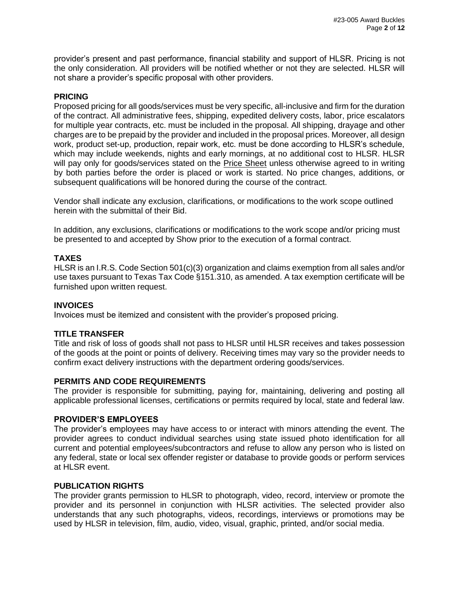provider's present and past performance, financial stability and support of HLSR. Pricing is not the only consideration. All providers will be notified whether or not they are selected. HLSR will not share a provider's specific proposal with other providers.

### **PRICING**

Proposed pricing for all goods/services must be very specific, all-inclusive and firm for the duration of the contract. All administrative fees, shipping, expedited delivery costs, labor, price escalators for multiple year contracts, etc. must be included in the proposal. All shipping, drayage and other charges are to be prepaid by the provider and included in the proposal prices. Moreover, all design work, product set-up, production, repair work, etc. must be done according to HLSR's schedule, which may include weekends, nights and early mornings, at no additional cost to HLSR. HLSR will pay only for goods/services stated on the **Price Sheet unless otherwise agreed to in writing** by both parties before the order is placed or work is started. No price changes, additions, or subsequent qualifications will be honored during the course of the contract.

Vendor shall indicate any exclusion, clarifications, or modifications to the work scope outlined herein with the submittal of their Bid.

In addition, any exclusions, clarifications or modifications to the work scope and/or pricing must be presented to and accepted by Show prior to the execution of a formal contract.

# **TAXES**

HLSR is an I.R.S. Code Section 501(c)(3) organization and claims exemption from all sales and/or use taxes pursuant to Texas Tax Code §151.310, as amended. A tax exemption certificate will be furnished upon written request.

#### **INVOICES**

Invoices must be itemized and consistent with the provider's proposed pricing.

# **TITLE TRANSFER**

Title and risk of loss of goods shall not pass to HLSR until HLSR receives and takes possession of the goods at the point or points of delivery. Receiving times may vary so the provider needs to confirm exact delivery instructions with the department ordering goods/services.

#### **PERMITS AND CODE REQUIREMENTS**

The provider is responsible for submitting, paying for, maintaining, delivering and posting all applicable professional licenses, certifications or permits required by local, state and federal law.

#### **PROVIDER'S EMPLOYEES**

The provider's employees may have access to or interact with minors attending the event. The provider agrees to conduct individual searches using state issued photo identification for all current and potential employees/subcontractors and refuse to allow any person who is listed on any federal, state or local sex offender register or database to provide goods or perform services at HLSR event.

#### **PUBLICATION RIGHTS**

The provider grants permission to HLSR to photograph, video, record, interview or promote the provider and its personnel in conjunction with HLSR activities. The selected provider also understands that any such photographs, videos, recordings, interviews or promotions may be used by HLSR in television, film, audio, video, visual, graphic, printed, and/or social media.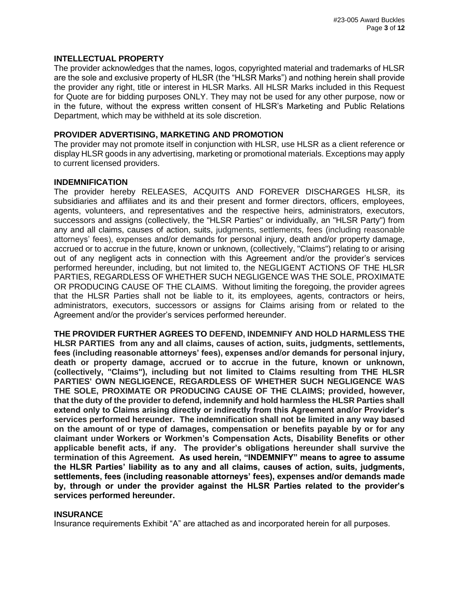#### **INTELLECTUAL PROPERTY**

The provider acknowledges that the names, logos, copyrighted material and trademarks of HLSR are the sole and exclusive property of HLSR (the "HLSR Marks") and nothing herein shall provide the provider any right, title or interest in HLSR Marks. All HLSR Marks included in this Request for Quote are for bidding purposes ONLY. They may not be used for any other purpose, now or in the future, without the express written consent of HLSR's Marketing and Public Relations Department, which may be withheld at its sole discretion.

#### **PROVIDER ADVERTISING, MARKETING AND PROMOTION**

The provider may not promote itself in conjunction with HLSR, use HLSR as a client reference or display HLSR goods in any advertising, marketing or promotional materials. Exceptions may apply to current licensed providers.

#### **INDEMNIFICATION**

The provider hereby RELEASES, ACQUITS AND FOREVER DISCHARGES HLSR, its subsidiaries and affiliates and its and their present and former directors, officers, employees, agents, volunteers, and representatives and the respective heirs, administrators, executors, successors and assigns (collectively, the "HLSR Parties" or individually, an "HLSR Party") from any and all claims, causes of action, suits, judgments, settlements, fees (including reasonable attorneys' fees), expenses and/or demands for personal injury, death and/or property damage, accrued or to accrue in the future, known or unknown, (collectively, "Claims") relating to or arising out of any negligent acts in connection with this Agreement and/or the provider's services performed hereunder, including, but not limited to, the NEGLIGENT ACTIONS OF THE HLSR PARTIES, REGARDLESS OF WHETHER SUCH NEGLIGENCE WAS THE SOLE, PROXIMATE OR PRODUCING CAUSE OF THE CLAIMS. Without limiting the foregoing, the provider agrees that the HLSR Parties shall not be liable to it, its employees, agents, contractors or heirs, administrators, executors, successors or assigns for Claims arising from or related to the Agreement and/or the provider's services performed hereunder.

**THE PROVIDER FURTHER AGREES TO DEFEND, INDEMNIFY AND HOLD HARMLESS THE HLSR PARTIES from any and all claims, causes of action, suits, judgments, settlements, fees (including reasonable attorneys' fees), expenses and/or demands for personal injury, death or property damage, accrued or to accrue in the future, known or unknown, (collectively, "Claims"), including but not limited to Claims resulting from THE HLSR PARTIES' OWN NEGLIGENCE, REGARDLESS OF WHETHER SUCH NEGLIGENCE WAS THE SOLE, PROXIMATE OR PRODUCING CAUSE OF THE CLAIMS; provided, however, that the duty of the provider to defend, indemnify and hold harmless the HLSR Parties shall extend only to Claims arising directly or indirectly from this Agreement and/or Provider's services performed hereunder. The indemnification shall not be limited in any way based on the amount of or type of damages, compensation or benefits payable by or for any claimant under Workers or Workmen's Compensation Acts, Disability Benefits or other applicable benefit acts, if any. The provider's obligations hereunder shall survive the termination of this Agreement. As used herein, "INDEMNIFY" means to agree to assume the HLSR Parties' liability as to any and all claims, causes of action, suits, judgments, settlements, fees (including reasonable attorneys' fees), expenses and/or demands made by, through or under the provider against the HLSR Parties related to the provider's services performed hereunder.**

#### **INSURANCE**

Insurance requirements Exhibit "A" are attached as and incorporated herein for all purposes.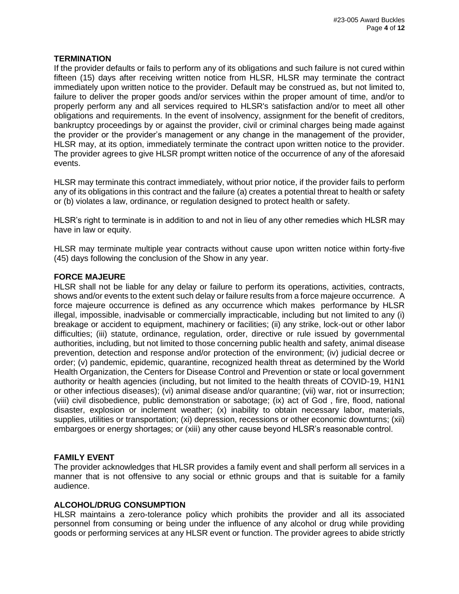# **TERMINATION**

If the provider defaults or fails to perform any of its obligations and such failure is not cured within fifteen (15) days after receiving written notice from HLSR, HLSR may terminate the contract immediately upon written notice to the provider. Default may be construed as, but not limited to, failure to deliver the proper goods and/or services within the proper amount of time, and/or to properly perform any and all services required to HLSR's satisfaction and/or to meet all other obligations and requirements. In the event of insolvency, assignment for the benefit of creditors, bankruptcy proceedings by or against the provider, civil or criminal charges being made against the provider or the provider's management or any change in the management of the provider, HLSR may, at its option, immediately terminate the contract upon written notice to the provider. The provider agrees to give HLSR prompt written notice of the occurrence of any of the aforesaid events.

HLSR may terminate this contract immediately, without prior notice, if the provider fails to perform any of its obligations in this contract and the failure (a) creates a potential threat to health or safety or (b) violates a law, ordinance, or regulation designed to protect health or safety.

HLSR's right to terminate is in addition to and not in lieu of any other remedies which HLSR may have in law or equity.

HLSR may terminate multiple year contracts without cause upon written notice within forty-five (45) days following the conclusion of the Show in any year.

# **FORCE MAJEURE**

HLSR shall not be liable for any delay or failure to perform its operations, activities, contracts, shows and/or events to the extent such delay or failure results from a force majeure occurrence. A force majeure occurrence is defined as any occurrence which makes performance by HLSR illegal, impossible, inadvisable or commercially impracticable, including but not limited to any (i) breakage or accident to equipment, machinery or facilities; (ii) any strike, lock-out or other labor difficulties; (iii) statute, ordinance, regulation, order, directive or rule issued by governmental authorities, including, but not limited to those concerning public health and safety, animal disease prevention, detection and response and/or protection of the environment; (iv) judicial decree or order; (v) pandemic, epidemic, quarantine, recognized health threat as determined by the World Health Organization, the Centers for Disease Control and Prevention or state or local government authority or health agencies (including, but not limited to the health threats of COVID-19, H1N1 or other infectious diseases); (vi) animal disease and/or quarantine; (vii) war, riot or insurrection; (viii) civil disobedience, public demonstration or sabotage; (ix) act of God , fire, flood, national disaster, explosion or inclement weather; (x) inability to obtain necessary labor, materials, supplies, utilities or transportation; (xi) depression, recessions or other economic downturns; (xii) embargoes or energy shortages; or (xiii) any other cause beyond HLSR's reasonable control.

# **FAMILY EVENT**

The provider acknowledges that HLSR provides a family event and shall perform all services in a manner that is not offensive to any social or ethnic groups and that is suitable for a family audience.

# **ALCOHOL/DRUG CONSUMPTION**

HLSR maintains a zero-tolerance policy which prohibits the provider and all its associated personnel from consuming or being under the influence of any alcohol or drug while providing goods or performing services at any HLSR event or function. The provider agrees to abide strictly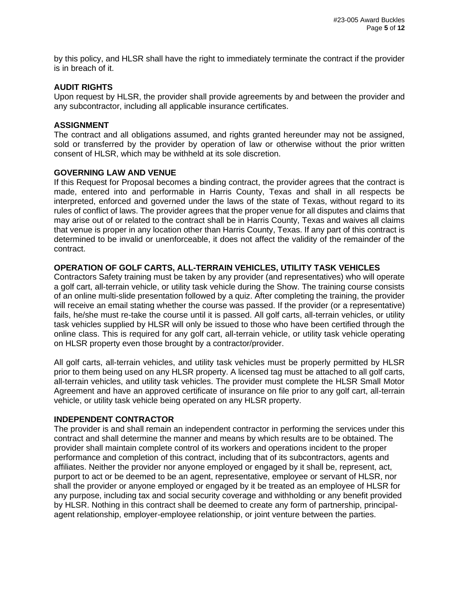by this policy, and HLSR shall have the right to immediately terminate the contract if the provider is in breach of it.

#### **AUDIT RIGHTS**

Upon request by HLSR, the provider shall provide agreements by and between the provider and any subcontractor, including all applicable insurance certificates.

#### **ASSIGNMENT**

The contract and all obligations assumed, and rights granted hereunder may not be assigned, sold or transferred by the provider by operation of law or otherwise without the prior written consent of HLSR, which may be withheld at its sole discretion.

#### **GOVERNING LAW AND VENUE**

If this Request for Proposal becomes a binding contract, the provider agrees that the contract is made, entered into and performable in Harris County, Texas and shall in all respects be interpreted, enforced and governed under the laws of the state of Texas, without regard to its rules of conflict of laws. The provider agrees that the proper venue for all disputes and claims that may arise out of or related to the contract shall be in Harris County, Texas and waives all claims that venue is proper in any location other than Harris County, Texas. If any part of this contract is determined to be invalid or unenforceable, it does not affect the validity of the remainder of the contract.

# **OPERATION OF GOLF CARTS, ALL-TERRAIN VEHICLES, UTILITY TASK VEHICLES**

Contractors Safety training must be taken by any provider (and representatives) who will operate a golf cart, all-terrain vehicle, or utility task vehicle during the Show. The training course consists of an online multi-slide presentation followed by a quiz. After completing the training, the provider will receive an email stating whether the course was passed. If the provider (or a representative) fails, he/she must re-take the course until it is passed. All golf carts, all-terrain vehicles, or utility task vehicles supplied by HLSR will only be issued to those who have been certified through the online class. This is required for any golf cart, all-terrain vehicle, or utility task vehicle operating on HLSR property even those brought by a contractor/provider.

All golf carts, all-terrain vehicles, and utility task vehicles must be properly permitted by HLSR prior to them being used on any HLSR property. A licensed tag must be attached to all golf carts, all-terrain vehicles, and utility task vehicles. The provider must complete the HLSR Small Motor Agreement and have an approved certificate of insurance on file prior to any golf cart, all-terrain vehicle, or utility task vehicle being operated on any HLSR property.

#### **INDEPENDENT CONTRACTOR**

The provider is and shall remain an independent contractor in performing the services under this contract and shall determine the manner and means by which results are to be obtained. The provider shall maintain complete control of its workers and operations incident to the proper performance and completion of this contract, including that of its subcontractors, agents and affiliates. Neither the provider nor anyone employed or engaged by it shall be, represent, act, purport to act or be deemed to be an agent, representative, employee or servant of HLSR, nor shall the provider or anyone employed or engaged by it be treated as an employee of HLSR for any purpose, including tax and social security coverage and withholding or any benefit provided by HLSR. Nothing in this contract shall be deemed to create any form of partnership, principalagent relationship, employer-employee relationship, or joint venture between the parties.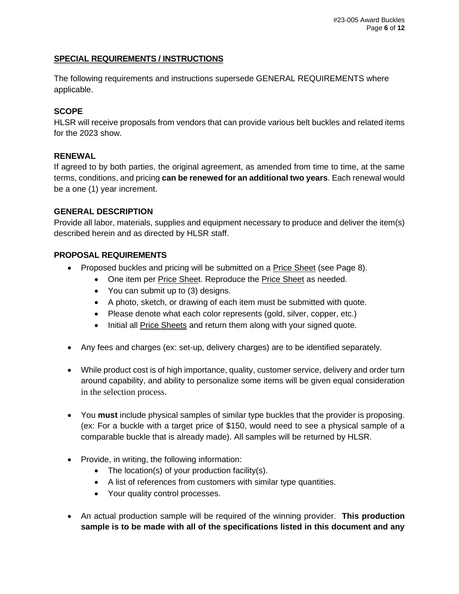# **SPECIAL REQUIREMENTS / INSTRUCTIONS**

The following requirements and instructions supersede GENERAL REQUIREMENTS where applicable.

# **SCOPE**

HLSR will receive proposals from vendors that can provide various belt buckles and related items for the 2023 show.

# **RENEWAL**

If agreed to by both parties, the original agreement, as amended from time to time, at the same terms, conditions, and pricing **can be renewed for an additional two years**. Each renewal would be a one (1) year increment.

# **GENERAL DESCRIPTION**

Provide all labor, materials, supplies and equipment necessary to produce and deliver the item(s) described herein and as directed by HLSR staff.

# **PROPOSAL REQUIREMENTS**

- Proposed buckles and pricing will be submitted on a **Price Sheet** (see Page 8).
	- One item per Price Sheet. Reproduce the Price Sheet as needed.
	- You can submit up to (3) designs.
	- A photo, sketch, or drawing of each item must be submitted with quote.
	- Please denote what each color represents (gold, silver, copper, etc.)
	- Initial all Price Sheets and return them along with your signed quote.
- Any fees and charges (ex: set-up, delivery charges) are to be identified separately.
- While product cost is of high importance, quality, customer service, delivery and order turn around capability, and ability to personalize some items will be given equal consideration in the selection process.
- You **must** include physical samples of similar type buckles that the provider is proposing. (ex: For a buckle with a target price of \$150, would need to see a physical sample of a comparable buckle that is already made). All samples will be returned by HLSR.
- Provide, in writing, the following information:
	- The location(s) of your production facility(s).
	- A list of references from customers with similar type quantities.
	- Your quality control processes.
- An actual production sample will be required of the winning provider. **This production sample is to be made with all of the specifications listed in this document and any**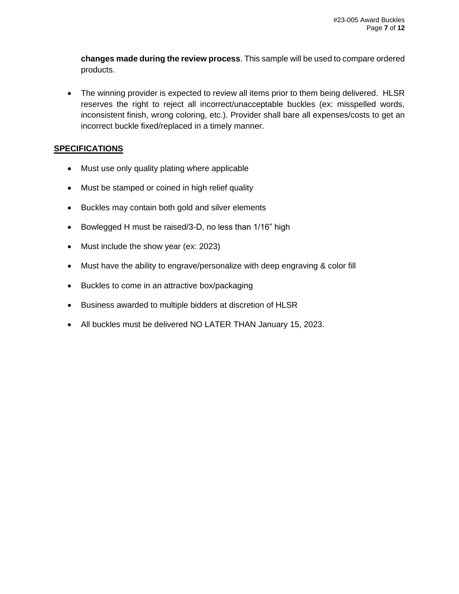**changes made during the review process**. This sample will be used to compare ordered products.

• The winning provider is expected to review all items prior to them being delivered. HLSR reserves the right to reject all incorrect/unacceptable buckles (ex: misspelled words, inconsistent finish, wrong coloring, etc.). Provider shall bare all expenses/costs to get an incorrect buckle fixed/replaced in a timely manner.

# **SPECIFICATIONS**

- Must use only quality plating where applicable
- Must be stamped or coined in high relief quality
- Buckles may contain both gold and silver elements
- Bowlegged H must be raised/3-D, no less than 1/16" high
- Must include the show year (ex: 2023)
- Must have the ability to engrave/personalize with deep engraving & color fill
- Buckles to come in an attractive box/packaging
- Business awarded to multiple bidders at discretion of HLSR
- All buckles must be delivered NO LATER THAN January 15, 2023.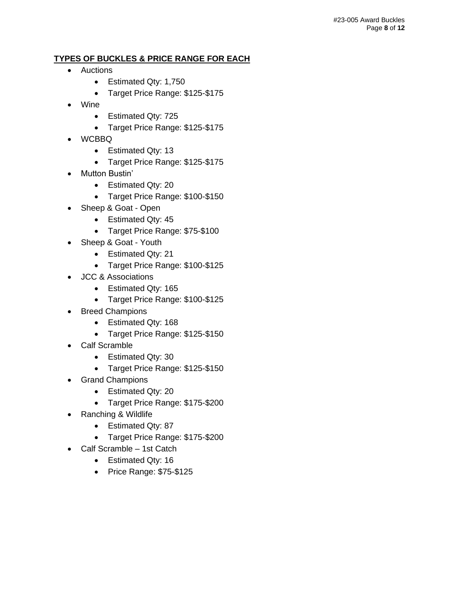# **TYPES OF BUCKLES & PRICE RANGE FOR EACH**

- Auctions
	- Estimated Qty: 1,750
	- Target Price Range: \$125-\$175
- Wine
	- Estimated Qty: 725
	- Target Price Range: \$125-\$175
- WCBBQ
	- Estimated Qty: 13
	- Target Price Range: \$125-\$175
- Mutton Bustin'
	- Estimated Qty: 20
	- Target Price Range: \$100-\$150
- Sheep & Goat Open
	- Estimated Qty: 45
	- Target Price Range: \$75-\$100
- Sheep & Goat Youth
	- Estimated Qty: 21
	- Target Price Range: \$100-\$125
- JCC & Associations
	- Estimated Qty: 165
	- Target Price Range: \$100-\$125
- Breed Champions
	- Estimated Qty: 168
	- Target Price Range: \$125-\$150
- Calf Scramble
	- Estimated Qty: 30
	- Target Price Range: \$125-\$150
- Grand Champions
	- Estimated Qty: 20
	- Target Price Range: \$175-\$200
- Ranching & Wildlife
	- Estimated Qty: 87
	- Target Price Range: \$175-\$200
- Calf Scramble 1st Catch
	- Estimated Qty: 16
	- Price Range: \$75-\$125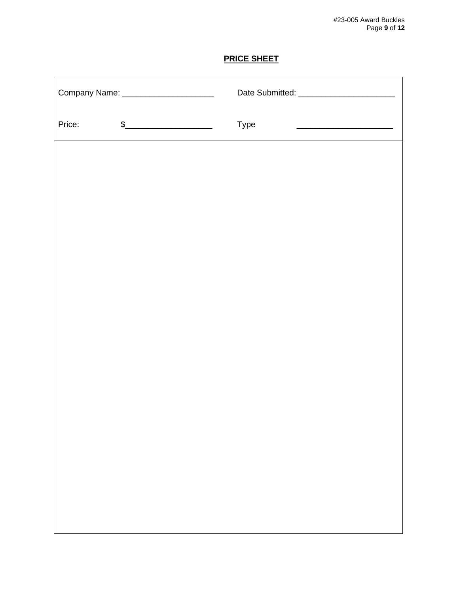# **PRICE SHEET**

| Company Name: _______________________ |                                                                                                                                                                                                                                                                                                                                                                     |      |
|---------------------------------------|---------------------------------------------------------------------------------------------------------------------------------------------------------------------------------------------------------------------------------------------------------------------------------------------------------------------------------------------------------------------|------|
| Price:                                | $\begin{picture}(20,10) \put(0,0){\vector(1,0){100}} \put(15,0){\vector(1,0){100}} \put(15,0){\vector(1,0){100}} \put(15,0){\vector(1,0){100}} \put(15,0){\vector(1,0){100}} \put(15,0){\vector(1,0){100}} \put(15,0){\vector(1,0){100}} \put(15,0){\vector(1,0){100}} \put(15,0){\vector(1,0){100}} \put(15,0){\vector(1,0){100}} \put(15,0){\vector(1,0){100}} \$ | Type |
|                                       |                                                                                                                                                                                                                                                                                                                                                                     |      |
|                                       |                                                                                                                                                                                                                                                                                                                                                                     |      |
|                                       |                                                                                                                                                                                                                                                                                                                                                                     |      |
|                                       |                                                                                                                                                                                                                                                                                                                                                                     |      |
|                                       |                                                                                                                                                                                                                                                                                                                                                                     |      |
|                                       |                                                                                                                                                                                                                                                                                                                                                                     |      |
|                                       |                                                                                                                                                                                                                                                                                                                                                                     |      |
|                                       |                                                                                                                                                                                                                                                                                                                                                                     |      |
|                                       |                                                                                                                                                                                                                                                                                                                                                                     |      |
|                                       |                                                                                                                                                                                                                                                                                                                                                                     |      |
|                                       |                                                                                                                                                                                                                                                                                                                                                                     |      |
|                                       |                                                                                                                                                                                                                                                                                                                                                                     |      |
|                                       |                                                                                                                                                                                                                                                                                                                                                                     |      |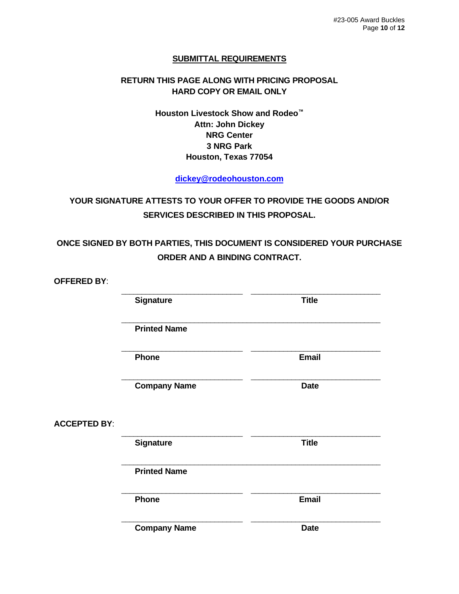# **SUBMITTAL REQUIREMENTS**

# **RETURN THIS PAGE ALONG WITH PRICING PROPOSAL HARD COPY OR EMAIL ONLY**

**Houston Livestock Show and Rodeo™ Attn: John Dickey NRG Center 3 NRG Park Houston, Texas 77054**

**[dickey@rodeohouston.com](mailto:dickey@rodeohouston.com)**

**YOUR SIGNATURE ATTESTS TO YOUR OFFER TO PROVIDE THE GOODS AND/OR SERVICES DESCRIBED IN THIS PROPOSAL.**

**ONCE SIGNED BY BOTH PARTIES, THIS DOCUMENT IS CONSIDERED YOUR PURCHASE ORDER AND A BINDING CONTRACT.**

**OFFERED BY**: \_\_\_\_\_\_\_\_\_\_\_\_\_\_\_\_\_\_\_\_\_\_\_\_\_\_\_\_\_\_\_\_\_\_\_\_\_\_\_\_\_\_\_\_\_\_\_\_\_\_\_\_\_\_\_\_\_\_\_\_\_\_\_\_ **Signature Title** \_\_\_\_\_\_\_\_\_\_\_\_\_\_\_\_\_\_\_\_\_\_\_\_\_\_\_\_\_\_\_\_\_\_\_\_\_\_\_\_\_\_\_\_\_\_\_\_\_\_\_\_\_\_\_\_\_\_\_\_\_\_\_\_ **Printed Name** \_\_\_\_\_\_\_\_\_\_\_\_\_\_\_\_\_\_\_\_\_\_\_\_\_\_\_\_\_\_\_\_\_\_\_\_\_\_\_\_\_\_\_\_\_\_\_\_\_\_\_\_\_\_\_\_\_\_\_\_\_\_\_\_ **Phone Email** \_\_\_\_\_\_\_\_\_\_\_\_\_\_\_\_\_\_\_\_\_\_\_\_\_\_\_\_\_\_\_\_\_\_\_\_\_\_\_\_\_\_\_\_\_\_\_\_\_\_\_\_\_\_\_\_\_\_\_\_\_\_\_\_ **Company Name Date ACCEPTED BY**: \_\_\_\_\_\_\_\_\_\_\_\_\_\_\_\_\_\_\_\_\_\_\_\_\_\_\_\_\_\_\_\_\_\_\_\_\_\_\_\_\_\_\_\_\_\_\_\_\_\_\_\_\_\_\_\_\_\_\_\_\_\_\_\_ **Signature Title** \_\_\_\_\_\_\_\_\_\_\_\_\_\_\_\_\_\_\_\_\_\_\_\_\_\_\_\_\_\_\_\_\_\_\_\_\_\_\_\_\_\_\_\_\_\_\_\_\_\_\_\_\_\_\_\_\_\_\_\_\_\_\_\_ **Printed Name** \_\_\_\_\_\_\_\_\_\_\_\_\_\_\_\_\_\_\_\_\_\_\_\_\_\_\_\_\_\_\_\_\_\_\_\_\_\_\_\_\_\_\_\_\_\_\_\_\_\_\_\_\_\_\_\_\_\_\_\_\_\_\_\_ **Phone Email** \_\_\_\_\_\_\_\_\_\_\_\_\_\_\_\_\_\_\_\_\_\_\_\_\_\_\_\_\_\_\_\_\_\_\_\_\_\_\_\_\_\_\_\_\_\_\_\_\_\_\_\_\_\_\_\_\_\_\_\_\_\_\_\_ **Company Name Date** Date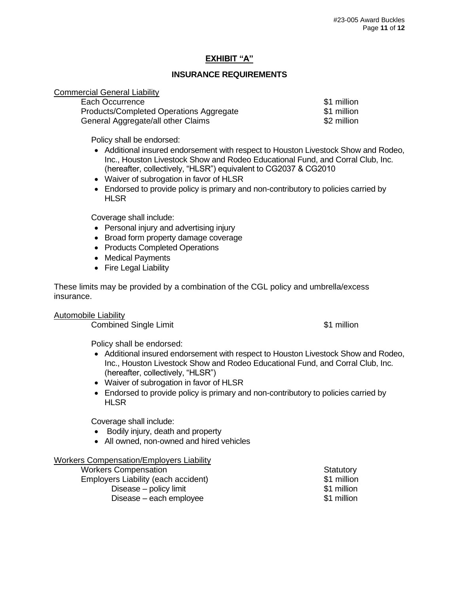# **EXHIBIT "A"**

### **INSURANCE REQUIREMENTS**

#### Commercial General Liability

| Each Occurrence                         | \$1 million |
|-----------------------------------------|-------------|
| Products/Completed Operations Aggregate | \$1 million |
| General Aggregate/all other Claims      | \$2 million |

Policy shall be endorsed:

- Additional insured endorsement with respect to Houston Livestock Show and Rodeo, Inc., Houston Livestock Show and Rodeo Educational Fund, and Corral Club, Inc. (hereafter, collectively, "HLSR") equivalent to CG2037 & CG2010
- Waiver of subrogation in favor of HLSR
- Endorsed to provide policy is primary and non-contributory to policies carried by **HLSR**

Coverage shall include:

- Personal injury and advertising injury
- Broad form property damage coverage
- Products Completed Operations
- Medical Payments
- Fire Legal Liability

These limits may be provided by a combination of the CGL policy and umbrella/excess insurance.

Automobile Liability

**Combined Single Limit 1988 Combined Single Limit 31 million** 

Policy shall be endorsed:

- Additional insured endorsement with respect to Houston Livestock Show and Rodeo, Inc., Houston Livestock Show and Rodeo Educational Fund, and Corral Club, Inc. (hereafter, collectively, "HLSR")
- Waiver of subrogation in favor of HLSR
- Endorsed to provide policy is primary and non-contributory to policies carried by **HLSR**

Coverage shall include:

- Bodily injury, death and property
- All owned, non-owned and hired vehicles

#### Workers Compensation/Employers Liability

| <b>Workers Compensation</b>         | Statutory   |
|-------------------------------------|-------------|
| Employers Liability (each accident) | \$1 million |
| Disease – policy limit              | \$1 million |
| Disease – each employee             | \$1 million |